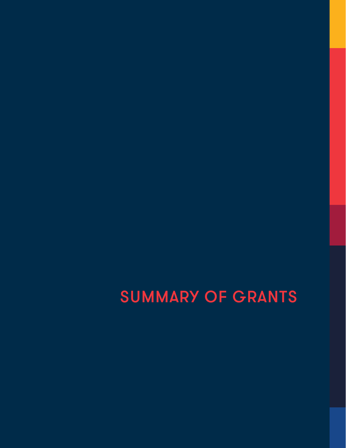# SUMMARY OF GRANTS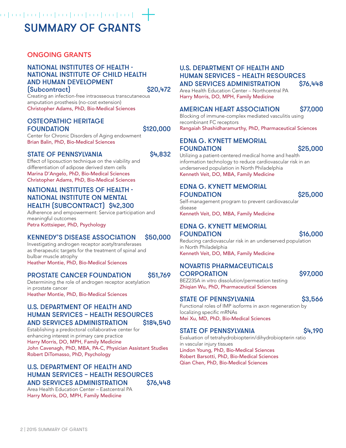## a particular particular target the <mark>--</mark>-SUMMARY OF GRANTS

### ONGOING GRANTS

#### NATIONAL INSTITUTES OF HEALTH - NATIONAL INSTITUTE OF CHILD HEALTH AND HUMAN DEVELOPMENT  $Subcontract$   $S20.472$

Creating an infection-free intraosseous transcutaneous amputation prosthesis (no-cost extension) Christopher Adams, PhD, Bio-Medical Sciences

#### OSTEOPATHIC HERITAGE FOUNDATION \$120,000

Center for Chronic Disorders of Aging endowment Brian Balin, PhD, Bio-Medical Sciences

#### STATE OF PENNSYLVANIA S4,832

Effect of liposuction technique on the viability and differentiation of adipose derived stem cells Marina D'Angelo, PhD, Bio-Medical Sciences Christopher Adams, PhD, Bio-Medical Sciences

#### NATIONAL INSTITUTES OF HEALTH - NATIONAL INSTITUTE ON MENTAL HEALTH (SUBCONTRACT) \$42,300

Adherence and empowerment: Service participation and meaningful outcomes Petra Kottsieper, PhD, Psychology

#### KENNEDY'S DISEASE ASSOCIATION \$50,000

Investigating androgen receptor acetyltransferases as therapeutic targets for the treatment of spinal and bulbar muscle atrophy Heather Montie, PhD, Bio-Medical Sciences

#### PROSTATE CANCER FOUNDATION \$51,769

Determining the role of androgen receptor acetylation in prostate cancer Heather Montie, PhD, Bio-Medical Sciences

#### U.S. DEPARTMENT OF HEALTH AND HUMAN SERVICES – HEALTH RESOURCES AND SERVICES ADMINISTRATION \$184,540

Establishing a predoctoral collaborative center for enhancing interest in primary care practice Harry Morris, DO, MPH, Family Medicine John Cavenagh, PhD, MBA, PA-C, Physician Assistant Studies Robert DiTomasso, PhD, Psychology

#### U.S. DEPARTMENT OF HEALTH AND HUMAN SERVICES – HEALTH RESOURCES AND SERVICES ADMINISTRATION \$76,448

Area Health Education Center – Eastcentral PA Harry Morris, DO, MPH, Family Medicine

#### U.S. DEPARTMENT OF HEALTH AND HUMAN SERVICES – HEALTH RESOURCES AND SERVICES ADMINISTRATION \$76,448

Area Health Education Center – Northcentral PA Harry Morris, DO, MPH, Family Medicine

#### AMERICAN HEART ASSOCIATION \$77,000

Blocking of immune-complex mediated vasculitis using recombinant FC receptors Rangaiah Shashidharamurthy, PhD, Pharmaceutical Sciences

#### EDNA G. KYNETT MEMORIAL FOUNDATION \$25,000

Utilizing a patient-centered medical home and health information technology to reduce cardiovascular risk in an underserved population in North Philadelphia Kenneth Veit, DO, MBA, Family Medicine

#### EDNA G. KYNETT MEMORIAL FOUNDATION \$25,000

Self-management program to prevent cardiovascular disease Kenneth Veit, DO, MBA, Family Medicine

### EDNA G. KYNETT MEMORIAL

FOUNDATION \$16,000

Reducing cardiovascular risk in an underserved population in North Philadelphia Kenneth Veit, DO, MBA, Family Medicine

#### NOVARTIS PHARMACEUTICALS CORPORATION \$97,000

BEZ235A in vitro dissolution/permeation testing Zhiqian Wu, PhD, Pharmaceutical Sciences

#### STATE OF PENNSYLVANIA 63.566

Functional roles of IMP isoforms in axon regeneration by localizing specific mRNAs Mei Xu, MD, PhD, Bio-Medical Sciences

#### STATE OF PENNSYLVANIA S4,190

Evaluation of tetrahydrobiopterin/dihydrobiopterin ratio in vascular injury tissues Lindon Young, PhD, Bio-Medical Sciences Robert Barsotti, PhD, Bio-Medical Sciences

Qian Chen, PhD, Bio-Medical Sciences